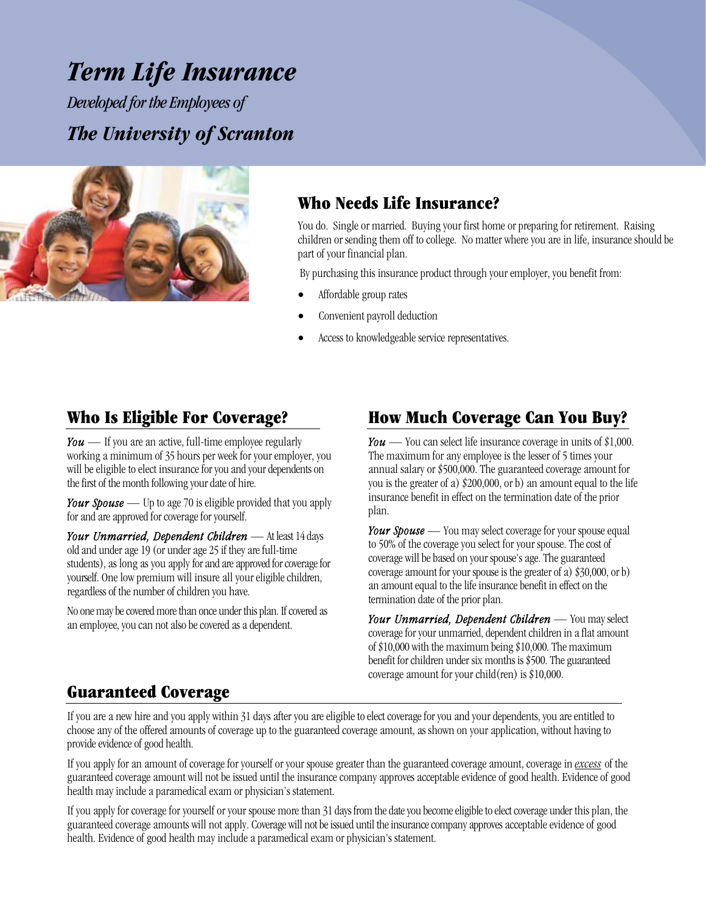# *Term Life Insurance*

 *Developed for the Employees of The University of Scranton* 



### **Who Needs Life Insurance?**

You do. Single or married. Buying your first home or preparing for retirement. Raising children or sending them off to college. No matter where you are in life, insurance should be part of your financial plan.

By purchasing this insurance product through your employer, you benefit from:

- Affordable group rates
- Convenient payroll deduction
- Access to knowledgeable service representatives.

### **Who Is Eligible For Coverage?**

*You —* If you are an active, full-time employee regularly working a minimum of 35 hours per week for your employer, you will be eligible to elect insurance for you and your dependents on the first of the month following your date of hire.

*Your Spouse —* Up to age 70 is eligible provided that you apply for and are approved for coverage for yourself.

*Your Unmarried, Dependent Children —* At least 14 days old and under age 19 (or under age 25 if they are full-time students), as long as you apply for and are approved for coverage for yourself. One low premium will insure all your eligible children, regardless of the number of children you have.

No one may be covered more than once under this plan. If covered as an employee, you can not also be covered as a dependent.

# **How Much Coverage Can You Buy?**

*You* — You can select life insurance coverage in units of \$1,000. The maximum for any employee is the lesser of 5 times your annual salary or \$500,000. The guaranteed coverage amount for you is the greater of a) \$200,000, or b) an amount equal to the life insurance benefit in effect on the termination date of the prior plan.

*Your Spouse —* You may select coverage for your spouse equal to 50% of the coverage you select for your spouse. The cost of coverage will be based on your spouse's age. The guaranteed coverage amount for your spouse is the greater of a) \$30,000, or b) an amount equal to the life insurance benefit in effect on the termination date of the prior plan.

*Your Unmarried, Dependent Children —* You may select coverage for your unmarried, dependent children in a flat amount of \$10,000 with the maximum being \$10,000. The maximum benefit for children under six months is \$500. The guaranteed coverage amount for your child(ren) is \$10,000.

### **Guaranteed Coverage**

If you are a new hire and you apply within 31 days after you are eligible to elect coverage for you and your dependents, you are entitled to choose any of the offered amounts of coverage up to the guaranteed coverage amount, as shown on your application, without having to provide evidence of good health.

If you apply for an amount of coverage for yourself or your spouse greater than the guaranteed coverage amount, coverage in *excess* of the guaranteed coverage amount will not be issued until the insurance company approves acceptable evidence of good health. Evidence of good health may include a paramedical exam or physician's statement.

If you apply for coverage for yourself or your spouse more than 31 days from the date you become eligible to elect coverage under this plan, the guaranteed coverage amounts will not apply. Coverage will not be issued until the insurance company approves acceptable evidence of good health. Evidence of good health may include a paramedical exam or physician's statement.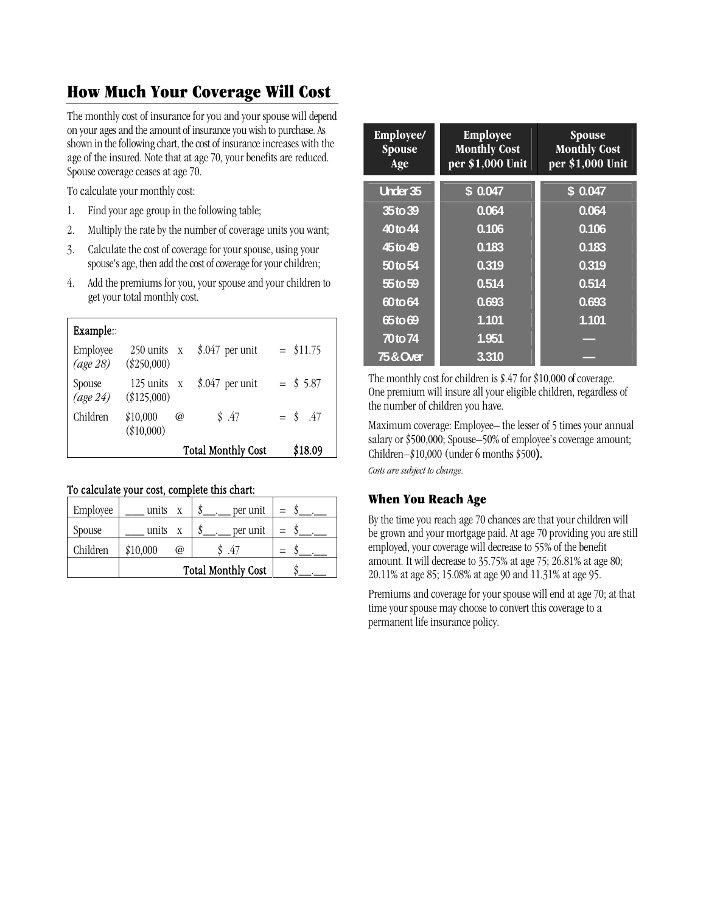### **How Much Your Coverage Will Cost**

The monthly cost of insurance for you and your spouse will depend on your ages and the amount of insurance you wish to purchase. As shown in the following chart, the cost of insurance increases with the age of the insured. Note that at age 70, your benefits are reduced. Spouse coverage ceases at age 70.

To calculate your monthly cost:

- 1. Find your age group in the following table;
- 2. Multiply the rate by the number of coverage units you want;
- 3. Calculate the cost of coverage for your spouse, using your spouse's age, then add the cost of coverage for your children;
- 4. Add the premiums for you, your spouse and your children to get your total monthly cost.

| Example::            |                                      |   |                  |             |
|----------------------|--------------------------------------|---|------------------|-------------|
| Employee<br>(age 28) | $250$ units $x$<br>$(\$250,000)$     |   | $$.047$ per unit | $=$ \$11.75 |
| Spouse<br>(age 24)   | $125$ units $\bar{x}$<br>(\$125,000) |   | $$.047$ per unit | $=$ \$ 5.87 |
| Children             | \$10,000<br>(\$10,000)               | @ | \$.47            | $=$ \$ .47  |
|                      | <b>Total Monthly Cost</b>            |   | \$18.09          |             |

#### To calculate your cost, complete this chart:

| Employee | units x                   | per unit | $=$ |
|----------|---------------------------|----------|-----|
| Spouse   | units<br>$\boldsymbol{X}$ | per unit |     |
| Children | \$10,000<br>$\omega$      | .47      | $=$ |
|          | <b>Total Monthly Cost</b> |          |     |

| Employee/<br>Spouse<br>Age | <b>Employee</b><br><b>Monthly Cost</b><br>per \$1,000 Unit | <b>Spouse</b><br><b>Monthly Cost</b><br>per \$1,000 Unit |
|----------------------------|------------------------------------------------------------|----------------------------------------------------------|
| <b>Under 35</b>            | \$0.047                                                    | \$0.047                                                  |
| 35 to 39                   | 0.064                                                      | 0.064                                                    |
| 40 to 44                   | 0.106                                                      | 0.106                                                    |
| 45 to 49                   | 0.183                                                      | 0.183                                                    |
| 50 to 54                   | 0.319                                                      | 0.319                                                    |
| 55 to 59                   | 0.514                                                      | 0.514                                                    |
| 60 to 64                   | 0.693                                                      | 0.693                                                    |
| 65 to 69                   | 1.101                                                      | 1.101                                                    |
| 70 to 74                   | 1.951                                                      |                                                          |
| <b>75 &amp; Over</b>       | 3.310                                                      |                                                          |

The monthly cost for children is \$.47 for \$10,000 of coverage. One premium will insure all your eligible children, regardless of the number of children you have.

Maximum coverage: Employee– the lesser of 5 times your annual salary or \$500,000; Spouse–50% of employee's coverage amount; Children–\$10,000 (under 6 months \$500). *Costs are subject to change.* 

#### **When You Reach Age**

By the time you reach age 70 chances are that your children will be grown and your mortgage paid. At age 70 providing you are still employed, your coverage will decrease to 55% of the benefit amount. It will decrease to 35.75% at age 75; 26.81% at age 80; 20.11% at age 85; 15.08% at age 90 and 11.31% at age 95.

Premiums and coverage for your spouse will end at age 70; at that time your spouse may choose to convert this coverage to a permanent life insurance policy.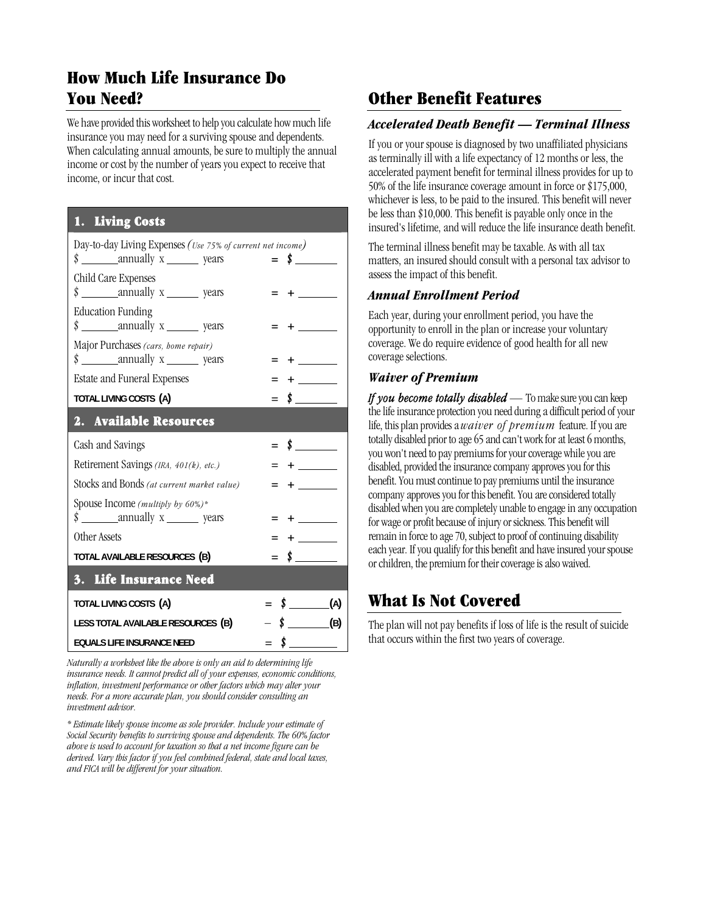# **How Much Life Insurance Do You Need?**

We have provided this worksheet to help you calculate how much life insurance you may need for a surviving spouse and dependents. When calculating annual amounts, be sure to multiply the annual income or cost by the number of years you expect to receive that income, or incur that cost.

### **1. Living Costs**

| Day-to-day Living Expenses (Use 75% of current net income)<br>$\frac{\text{g}}{\text{g}}$ annually x sears | $=$ \$                     |
|------------------------------------------------------------------------------------------------------------|----------------------------|
| Child Care Expenses<br>$\frac{\text{g}}{\text{g}}$ annually x ________ years                               |                            |
| <b>Education Funding</b><br>$\frac{\text{sum} x}{\text{sum}}$ years                                        |                            |
| Major Purchases (cars, home repair)<br>$\frac{\text{sum} x}{\text{sum}}$ years                             |                            |
| Estate and Funeral Expenses                                                                                |                            |
| TOTAL LIVING COSTS (A)                                                                                     | $\sim$<br>$=$              |
| 2. Available Resources                                                                                     |                            |
| Cash and Savings                                                                                           | $\frac{\cdot}{\cdot}$      |
| Retirement Savings (IRA, 401(k), etc.)                                                                     |                            |
| Stocks and Bonds (at current market value)                                                                 | $\mathcal{L}^{\text{max}}$ |
| Spouse Income (multiply by 60%)*                                                                           |                            |
| $\frac{\text{sum} x}{\text{sum}}$ years                                                                    |                            |
| Other Assets                                                                                               |                            |
| TOTAL AVAILABLE RESOURCES (B)                                                                              | $\frac{\cdot}{\cdot}$      |
| 3. Life Insurance Need                                                                                     |                            |
| TOTAL LIVING COSTS (A)                                                                                     | $\uparrow$ (A)<br>$=$      |
| LESS TOTAL AVAILABLE RESOURCES (B)                                                                         | $\sqrt{$}$ (B)             |
| <b>EQUALS LIFE INSURANCE NEED</b>                                                                          |                            |

*Naturally a worksheet like the above is only an aid to determining life insurance needs. It cannot predict all of your expenses, economic conditions, inflation, investment performance or other factors which may alter your needs. For a more accurate plan, you should consider consulting an investment advisor.* 

*\* Estimate likely spouse income as sole provider. Include your estimate of Social Security benefits to surviving spouse and dependents. The 60% factor above is used to account for taxation so that a net income figure can be derived. Vary this factor if you feel combined federal, state and local taxes, and FICA will be different for your situation.* 

# **Other Benefit Features**

#### *Accelerated Death Benefit — Terminal Illness*

If you or your spouse is diagnosed by two unaffiliated physicians as terminally ill with a life expectancy of 12 months or less, the accelerated payment benefit for terminal illness provides for up to 50% of the life insurance coverage amount in force or \$175,000, whichever is less, to be paid to the insured. This benefit will never be less than \$10,000. This benefit is payable only once in the insured's lifetime, and will reduce the life insurance death benefit.

The terminal illness benefit may be taxable. As with all tax matters, an insured should consult with a personal tax advisor to assess the impact of this benefit.

#### *Annual Enrollment Period*

Each year, during your enrollment period, you have the opportunity to enroll in the plan or increase your voluntary coverage. We do require evidence of good health for all new coverage selections.

#### *Waiver of Premium*

*If you become totally disabled —* To make sure you can keep the life insurance protection you need during a difficult period of your life, this plan provides a *waiver of premium* feature. If you are totally disabled prior to age 65 and can't work for at least 6 months, you won't need to pay premiums for your coverage while you are disabled, provided the insurance company approves you for this benefit. You must continue to pay premiums until the insurance company approves you for this benefit. You are considered totally disabled when you are completely unable to engage in any occupation for wage or profit because of injury or sickness. This benefit will remain in force to age 70, subject to proof of continuing disability each year. If you qualify for this benefit and have insured your spouse or children, the premium for their coverage is also waived.

## **What Is Not Covered**

The plan will not pay benefits if loss of life is the result of suicide that occurs within the first two years of coverage.